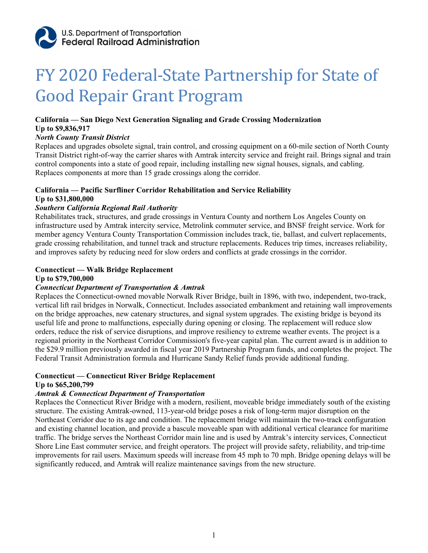

# FY 2020 Federal-State Partnership for State of Good Repair Grant Program

# **California — San Diego Next Generation Signaling and Grade Crossing Modernization**

#### **Up to \$9,836,917**

#### *North County Transit District*

Replaces and upgrades obsolete signal, train control, and crossing equipment on a 60-mile section of North County Transit District right-of-way the carrier shares with Amtrak intercity service and freight rail. Brings signal and train control components into a state of good repair, including installing new signal houses, signals, and cabling. Replaces components at more than 15 grade crossings along the corridor.

# **California — Pacific Surfliner Corridor Rehabilitation and Service Reliability Up to \$31,800,000**

# *Southern California Regional Rail Authority*

Rehabilitates track, structures, and grade crossings in Ventura County and northern Los Angeles County on infrastructure used by Amtrak intercity service, Metrolink commuter service, and BNSF freight service. Work for member agency Ventura County Transportation Commission includes track, tie, ballast, and culvert replacements, grade crossing rehabilitation, and tunnel track and structure replacements. Reduces trip times, increases reliability, and improves safety by reducing need for slow orders and conflicts at grade crossings in the corridor.

# **Connecticut — Walk Bridge Replacement**

**Up to \$79,700,000**

# *Connecticut Department of Transportation & Amtrak*

Replaces the Connecticut-owned movable Norwalk River Bridge, built in 1896, with two, independent, two-track, vertical lift rail bridges in Norwalk, Connecticut. Includes associated embankment and retaining wall improvements on the bridge approaches, new catenary structures, and signal system upgrades. The existing bridge is beyond its useful life and prone to malfunctions, especially during opening or closing. The replacement will reduce slow orders, reduce the risk of service disruptions, and improve resiliency to extreme weather events. The project is a regional priority in the Northeast Corridor Commission's five-year capital plan. The current award is in addition to the \$29.9 million previously awarded in fiscal year 2019 Partnership Program funds, and completes the project. The Federal Transit Administration formula and Hurricane Sandy Relief funds provide additional funding.

# **Connecticut — Connecticut River Bridge Replacement**

# **Up to \$65,200,799**

# *Amtrak & Connecticut Department of Transportation*

Replaces the Connecticut River Bridge with a modern, resilient, moveable bridge immediately south of the existing structure. The existing Amtrak-owned, 113-year-old bridge poses a risk of long-term major disruption on the Northeast Corridor due to its age and condition. The replacement bridge will maintain the two-track configuration and existing channel location, and provide a bascule moveable span with additional vertical clearance for maritime traffic. The bridge serves the Northeast Corridor main line and is used by Amtrak's intercity services, Connecticut Shore Line East commuter service, and freight operators. The project will provide safety, reliability, and trip-time improvements for rail users. Maximum speeds will increase from 45 mph to 70 mph. Bridge opening delays will be significantly reduced, and Amtrak will realize maintenance savings from the new structure.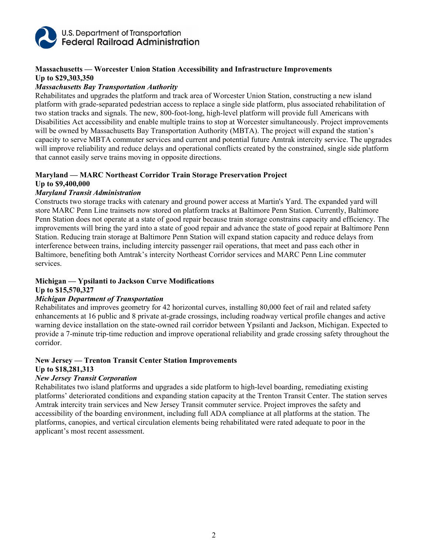

# **Massachusetts — Worcester Union Station Accessibility and Infrastructure Improvements Up to \$29,303,350**

#### *Massachusetts Bay Transportation Authority*

Rehabilitates and upgrades the platform and track area of Worcester Union Station, constructing a new island platform with grade-separated pedestrian access to replace a single side platform, plus associated rehabilitation of two station tracks and signals. The new, 800-foot-long, high-level platform will provide full Americans with Disabilities Act accessibility and enable multiple trains to stop at Worcester simultaneously. Project improvements will be owned by Massachusetts Bay Transportation Authority (MBTA). The project will expand the station's capacity to serve MBTA commuter services and current and potential future Amtrak intercity service. The upgrades will improve reliability and reduce delays and operational conflicts created by the constrained, single side platform that cannot easily serve trains moving in opposite directions.

#### **Maryland — MARC Northeast Corridor Train Storage Preservation Project Up to \$9,400,000**

#### *Maryland Transit Administration*

Constructs two storage tracks with catenary and ground power access at Martin's Yard. The expanded yard will store MARC Penn Line trainsets now stored on platform tracks at Baltimore Penn Station. Currently, Baltimore Penn Station does not operate at a state of good repair because train storage constrains capacity and efficiency. The improvements will bring the yard into a state of good repair and advance the state of good repair at Baltimore Penn Station. Reducing train storage at Baltimore Penn Station will expand station capacity and reduce delays from interference between trains, including intercity passenger rail operations, that meet and pass each other in Baltimore, benefiting both Amtrak's intercity Northeast Corridor services and MARC Penn Line commuter services.

#### **Michigan — Ypsilanti to Jackson Curve Modifications Up to \$15,570,327**

# *Michigan Department of Transportation*

Rehabilitates and improves geometry for 42 horizontal curves, installing 80,000 feet of rail and related safety enhancements at 16 public and 8 private at-grade crossings, including roadway vertical profile changes and active warning device installation on the state-owned rail corridor between Ypsilanti and Jackson, Michigan. Expected to provide a 7-minute trip-time reduction and improve operational reliability and grade crossing safety throughout the corridor.

#### **New Jersey — Trenton Transit Center Station Improvements Up to \$18,281,313**

#### *New Jersey Transit Corporation*

Rehabilitates two island platforms and upgrades a side platform to high-level boarding, remediating existing platforms' deteriorated conditions and expanding station capacity at the Trenton Transit Center. The station serves Amtrak intercity train services and New Jersey Transit commuter service. Project improves the safety and accessibility of the boarding environment, including full ADA compliance at all platforms at the station. The platforms, canopies, and vertical circulation elements being rehabilitated were rated adequate to poor in the applicant's most recent assessment.